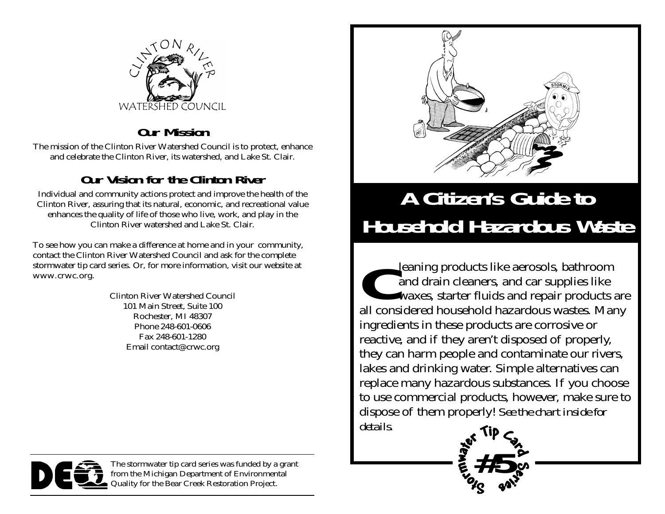

#### **Our Mission**

The mission of the Clinton River Watershed Council is to protect, enhance and celebrate the Clinton River, its watershed, and Lake St. Clair.

#### **Our Vision for the Clinton River**

Individual and community actions protect and improve the health of the Clinton River, assuring that its natural, economic, and recreational value enhances the quality of life of those who live, work, and play in the Clinton River watershed and Lake St. Clair.

To see how you can make a difference at home and in your community, contact the Clinton River Watershed Council and ask for the complete stormwater tip card series. Or, for more information, visit our website at www.crwc.org.

> Clinton River Watershed Council 101 Main Street, Suite 100 Rochester, MI 48307 Phone 248-601-0606 Fax 248-601-1280 Email contact@crwc.org



## **A Citizen's Guide to Household Hazardous Waste**

**C**leaning products like aerosols, bathroom and drain cleaners, and car supplies like waxes, starter fluids and repair products are all considered household hazardous wastes. Many ingredients in these products are corrosive or reactive, and if they aren't disposed of properly, they can harm people and contaminate our rivers, lakes and drinking water. Simple alternatives can replace many hazardous substances. If you choose to use commercial products, however, make sure to dispose of them properly! *See the chart inside for details.*

#5\$



The stormwater tip card series was funded by a grant from the Michigan Department of Environmental Quality for the Bear Creek Restoration Project.